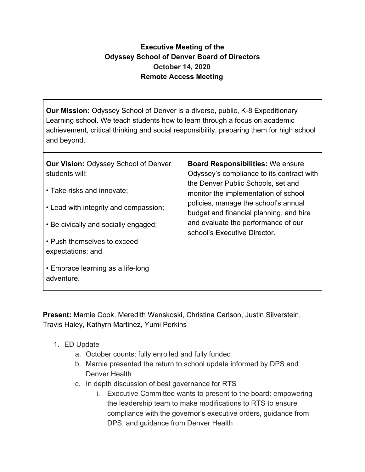## **Executive Meeting of the Odyssey School of Denver Board of Directors October 14, 2020 Remote Access Meeting**

**Our Mission:** Odyssey School of Denver is a diverse, public, K-8 Expeditionary Learning school. We teach students how to learn through a focus on academic achievement, critical thinking and social responsibility, preparing them for high school and beyond.

| <b>Our Vision: Odyssey School of Denver</b><br>students will:<br>• Take risks and innovate;<br>• Lead with integrity and compassion;<br>• Be civically and socially engaged;<br>• Push themselves to exceed<br>expectations; and | <b>Board Responsibilities: We ensure</b><br>Odyssey's compliance to its contract with<br>the Denver Public Schools, set and<br>monitor the implementation of school<br>policies, manage the school's annual<br>budget and financial planning, and hire<br>and evaluate the performance of our<br>school's Executive Director. |
|----------------------------------------------------------------------------------------------------------------------------------------------------------------------------------------------------------------------------------|-------------------------------------------------------------------------------------------------------------------------------------------------------------------------------------------------------------------------------------------------------------------------------------------------------------------------------|
| • Embrace learning as a life-long<br>adventure.                                                                                                                                                                                  |                                                                                                                                                                                                                                                                                                                               |

**Present:** Marnie Cook, Meredith Wenskoski, Christina Carlson, Justin Silverstein, Travis Haley, Kathyrn Martinez, Yumi Perkins

- 1. ED Update
	- a. October counts: fully enrolled and fully funded
	- b. Marnie presented the return to school update informed by DPS and Denver Health
	- c. In depth discussion of best governance for RTS
		- i. Executive Committee wants to present to the board: empowering the leadership team to make modifications to RTS to ensure compliance with the governor's executive orders, guidance from DPS, and guidance from Denver Health